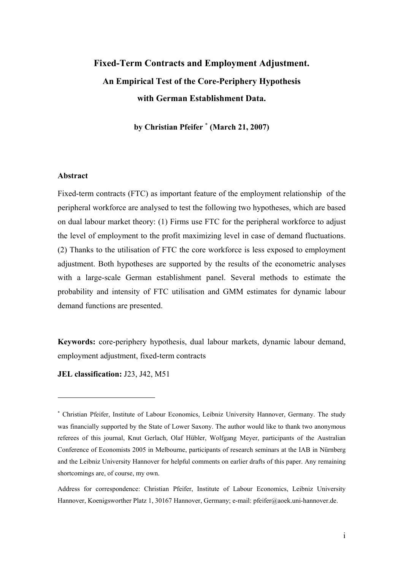# **Fixed-Term Contracts and Employment Adjustment. An Empirical Test of the Core-Periphery Hypothesis with German Establishment Data.**

**by Christian Pfeifer** <sup>∗</sup> **(March 21, 2007)** 

#### **Abstract**

l

Fixed-term contracts (FTC) as important feature of the employment relationship of the peripheral workforce are analysed to test the following two hypotheses, which are based on dual labour market theory: (1) Firms use FTC for the peripheral workforce to adjust the level of employment to the profit maximizing level in case of demand fluctuations. (2) Thanks to the utilisation of FTC the core workforce is less exposed to employment adjustment. Both hypotheses are supported by the results of the econometric analyses with a large-scale German establishment panel. Several methods to estimate the probability and intensity of FTC utilisation and GMM estimates for dynamic labour demand functions are presented.

**Keywords:** core-periphery hypothesis, dual labour markets, dynamic labour demand, employment adjustment, fixed-term contracts

**JEL classification:** J23, J42, M51

<sup>∗</sup> Christian Pfeifer, Institute of Labour Economics, Leibniz University Hannover, Germany. The study was financially supported by the State of Lower Saxony. The author would like to thank two anonymous referees of this journal, Knut Gerlach, Olaf Hübler, Wolfgang Meyer, participants of the Australian Conference of Economists 2005 in Melbourne, participants of research seminars at the IAB in Nürnberg and the Leibniz University Hannover for helpful comments on earlier drafts of this paper. Any remaining shortcomings are, of course, my own.

Address for correspondence: Christian Pfeifer, Institute of Labour Economics, Leibniz University Hannover, Koenigsworther Platz 1, 30167 Hannover, Germany; e-mail: pfeifer@aoek.uni-hannover.de.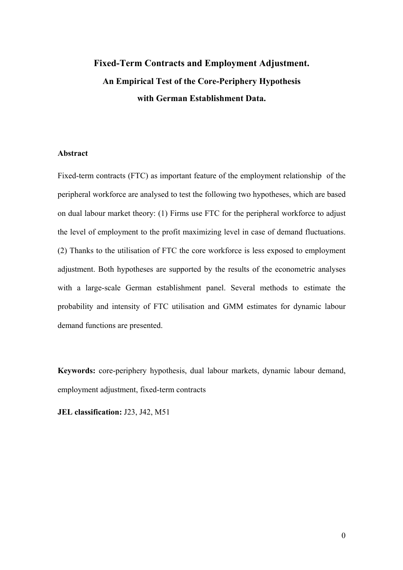# **Fixed-Term Contracts and Employment Adjustment. An Empirical Test of the Core-Periphery Hypothesis with German Establishment Data.**

# **Abstract**

Fixed-term contracts (FTC) as important feature of the employment relationship of the peripheral workforce are analysed to test the following two hypotheses, which are based on dual labour market theory: (1) Firms use FTC for the peripheral workforce to adjust the level of employment to the profit maximizing level in case of demand fluctuations. (2) Thanks to the utilisation of FTC the core workforce is less exposed to employment adjustment. Both hypotheses are supported by the results of the econometric analyses with a large-scale German establishment panel. Several methods to estimate the probability and intensity of FTC utilisation and GMM estimates for dynamic labour demand functions are presented.

**Keywords:** core-periphery hypothesis, dual labour markets, dynamic labour demand, employment adjustment, fixed-term contracts

**JEL classification:** J23, J42, M51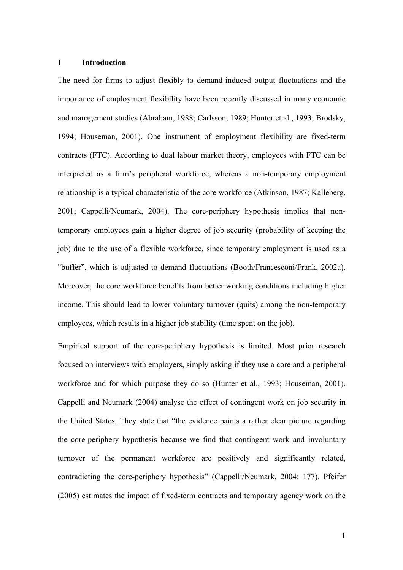#### **I Introduction**

The need for firms to adjust flexibly to demand-induced output fluctuations and the importance of employment flexibility have been recently discussed in many economic and management studies (Abraham, 1988; Carlsson, 1989; Hunter et al., 1993; Brodsky, 1994; Houseman, 2001). One instrument of employment flexibility are fixed-term contracts (FTC). According to dual labour market theory, employees with FTC can be interpreted as a firm's peripheral workforce, whereas a non-temporary employment relationship is a typical characteristic of the core workforce (Atkinson, 1987; Kalleberg, 2001; Cappelli/Neumark, 2004). The core-periphery hypothesis implies that nontemporary employees gain a higher degree of job security (probability of keeping the job) due to the use of a flexible workforce, since temporary employment is used as a "buffer", which is adjusted to demand fluctuations (Booth/Francesconi/Frank, 2002a). Moreover, the core workforce benefits from better working conditions including higher income. This should lead to lower voluntary turnover (quits) among the non-temporary employees, which results in a higher job stability (time spent on the job).

Empirical support of the core-periphery hypothesis is limited. Most prior research focused on interviews with employers, simply asking if they use a core and a peripheral workforce and for which purpose they do so (Hunter et al., 1993; Houseman, 2001). Cappelli and Neumark (2004) analyse the effect of contingent work on job security in the United States. They state that "the evidence paints a rather clear picture regarding the core-periphery hypothesis because we find that contingent work and involuntary turnover of the permanent workforce are positively and significantly related, contradicting the core-periphery hypothesis" (Cappelli/Neumark, 2004: 177). Pfeifer (2005) estimates the impact of fixed-term contracts and temporary agency work on the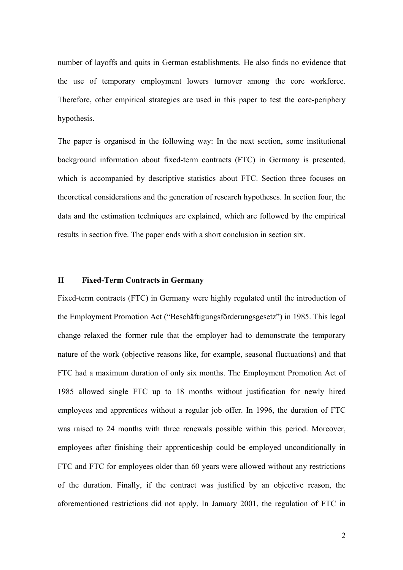number of layoffs and quits in German establishments. He also finds no evidence that the use of temporary employment lowers turnover among the core workforce. Therefore, other empirical strategies are used in this paper to test the core-periphery hypothesis.

The paper is organised in the following way: In the next section, some institutional background information about fixed-term contracts (FTC) in Germany is presented, which is accompanied by descriptive statistics about FTC. Section three focuses on theoretical considerations and the generation of research hypotheses. In section four, the data and the estimation techniques are explained, which are followed by the empirical results in section five. The paper ends with a short conclusion in section six.

# **II Fixed-Term Contracts in Germany**

Fixed-term contracts (FTC) in Germany were highly regulated until the introduction of the Employment Promotion Act ("Beschäftigungsförderungsgesetz") in 1985. This legal change relaxed the former rule that the employer had to demonstrate the temporary nature of the work (objective reasons like, for example, seasonal fluctuations) and that FTC had a maximum duration of only six months. The Employment Promotion Act of 1985 allowed single FTC up to 18 months without justification for newly hired employees and apprentices without a regular job offer. In 1996, the duration of FTC was raised to 24 months with three renewals possible within this period. Moreover, employees after finishing their apprenticeship could be employed unconditionally in FTC and FTC for employees older than 60 years were allowed without any restrictions of the duration. Finally, if the contract was justified by an objective reason, the aforementioned restrictions did not apply. In January 2001, the regulation of FTC in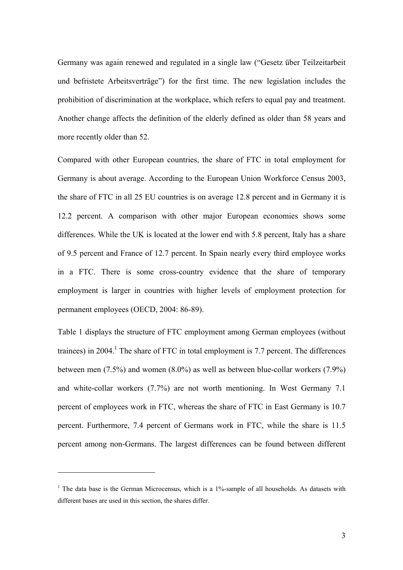Germany was again renewed and regulated in a single law ("Gesetz über Teilzeitarbeit und befristete Arbeitsverträge") for the first time. The new legislation includes the prohibition of discrimination at the workplace, which refers to equal pay and treatment. Another change affects the definition of the elderly defined as older than 58 years and more recently older than 52.

Compared with other European countries, the share of FTC in total employment for Germany is about average. According to the European Union Workforce Census 2003, the share of FTC in all 25 EU countries is on average 12.8 percent and in Germany it is 12.2 percent. A comparison with other major European economies shows some differences. While the UK is located at the lower end with 5.8 percent, Italy has a share of 9.5 percent and France of 12.7 percent. In Spain nearly every third employee works in a FTC. There is some cross-country evidence that the share of temporary employment is larger in countries with higher levels of employment protection for permanent employees (OECD, 2004: 86-89).

Table 1 displays the structure of FTC employment among German employees (without trainees) in 2004.<sup>1</sup> The share of FTC in total employment is 7.7 percent. The differences between men (7.5%) and women (8.0%) as well as between blue-collar workers (7.9%) and white-collar workers (7.7%) are not worth mentioning. In West Germany 7.1 percent of employees work in FTC, whereas the share of FTC in East Germany is 10.7 percent. Furthermore, 7.4 percent of Germans work in FTC, while the share is 11.5 percent among non-Germans. The largest differences can be found between different

l

 $<sup>1</sup>$  The data base is the German Microcensus, which is a 1%-sample of all households. As datasets with</sup> different bases are used in this section, the shares differ.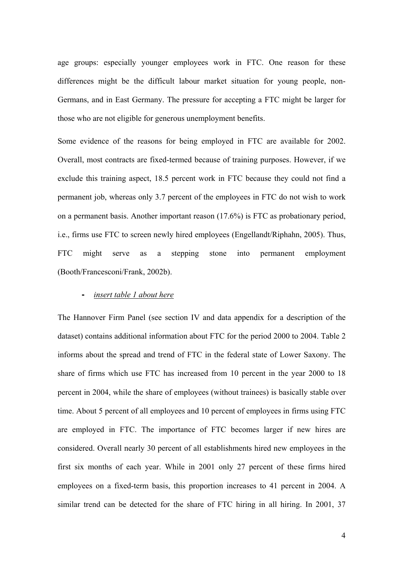age groups: especially younger employees work in FTC. One reason for these differences might be the difficult labour market situation for young people, non-Germans, and in East Germany. The pressure for accepting a FTC might be larger for those who are not eligible for generous unemployment benefits.

Some evidence of the reasons for being employed in FTC are available for 2002. Overall, most contracts are fixed-termed because of training purposes. However, if we exclude this training aspect, 18.5 percent work in FTC because they could not find a permanent job, whereas only 3.7 percent of the employees in FTC do not wish to work on a permanent basis. Another important reason (17.6%) is FTC as probationary period, i.e., firms use FTC to screen newly hired employees (Engellandt/Riphahn, 2005). Thus, FTC might serve as a stepping stone into permanent employment (Booth/Francesconi/Frank, 2002b).

#### **-** *insert table 1 about here*

The Hannover Firm Panel (see section IV and data appendix for a description of the dataset) contains additional information about FTC for the period 2000 to 2004. Table 2 informs about the spread and trend of FTC in the federal state of Lower Saxony. The share of firms which use FTC has increased from 10 percent in the year 2000 to 18 percent in 2004, while the share of employees (without trainees) is basically stable over time. About 5 percent of all employees and 10 percent of employees in firms using FTC are employed in FTC. The importance of FTC becomes larger if new hires are considered. Overall nearly 30 percent of all establishments hired new employees in the first six months of each year. While in 2001 only 27 percent of these firms hired employees on a fixed-term basis, this proportion increases to 41 percent in 2004. A similar trend can be detected for the share of FTC hiring in all hiring. In 2001, 37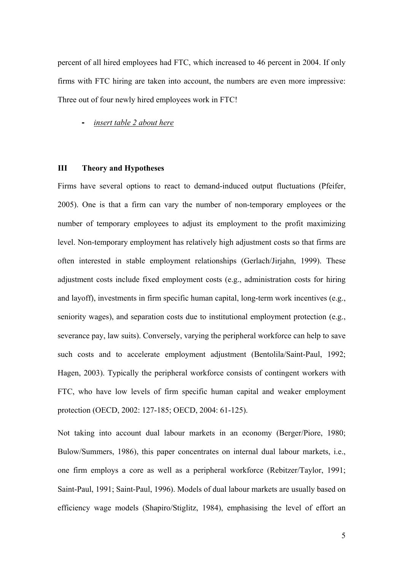percent of all hired employees had FTC, which increased to 46 percent in 2004. If only firms with FTC hiring are taken into account, the numbers are even more impressive: Three out of four newly hired employees work in FTC!

**-** *insert table 2 about here*

# **III Theory and Hypotheses**

Firms have several options to react to demand-induced output fluctuations (Pfeifer, 2005). One is that a firm can vary the number of non-temporary employees or the number of temporary employees to adjust its employment to the profit maximizing level. Non-temporary employment has relatively high adjustment costs so that firms are often interested in stable employment relationships (Gerlach/Jirjahn, 1999). These adjustment costs include fixed employment costs (e.g., administration costs for hiring and layoff), investments in firm specific human capital, long-term work incentives (e.g., seniority wages), and separation costs due to institutional employment protection (e.g., severance pay, law suits). Conversely, varying the peripheral workforce can help to save such costs and to accelerate employment adjustment (Bentolila/Saint-Paul, 1992; Hagen, 2003). Typically the peripheral workforce consists of contingent workers with FTC, who have low levels of firm specific human capital and weaker employment protection (OECD, 2002: 127-185; OECD, 2004: 61-125).

Not taking into account dual labour markets in an economy (Berger/Piore, 1980; Bulow/Summers, 1986), this paper concentrates on internal dual labour markets, i.e., one firm employs a core as well as a peripheral workforce (Rebitzer/Taylor, 1991; Saint-Paul, 1991; Saint-Paul, 1996). Models of dual labour markets are usually based on efficiency wage models (Shapiro/Stiglitz, 1984), emphasising the level of effort an

5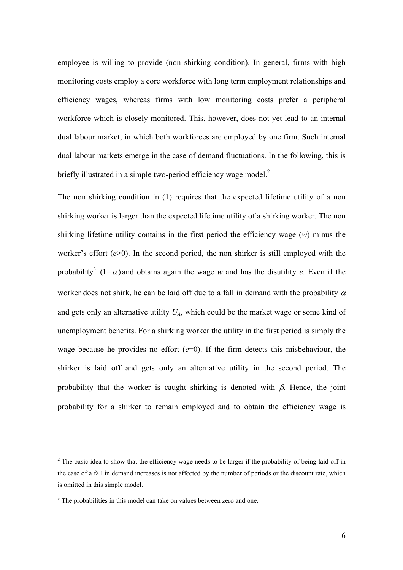employee is willing to provide (non shirking condition). In general, firms with high monitoring costs employ a core workforce with long term employment relationships and efficiency wages, whereas firms with low monitoring costs prefer a peripheral workforce which is closely monitored. This, however, does not yet lead to an internal dual labour market, in which both workforces are employed by one firm. Such internal dual labour markets emerge in the case of demand fluctuations. In the following, this is briefly illustrated in a simple two-period efficiency wage model. $2$ 

The non shirking condition in (1) requires that the expected lifetime utility of a non shirking worker is larger than the expected lifetime utility of a shirking worker. The non shirking lifetime utility contains in the first period the efficiency wage (*w*) minus the worker's effort (*e*>0). In the second period, the non shirker is still employed with the probability<sup>3</sup>  $(1 - \alpha)$  and obtains again the wage *w* and has the disutility *e*. Even if the worker does not shirk, he can be laid off due to a fall in demand with the probability  $\alpha$ and gets only an alternative utility  $U_A$ , which could be the market wage or some kind of unemployment benefits. For a shirking worker the utility in the first period is simply the wage because he provides no effort  $(e=0)$ . If the firm detects this misbehaviour, the shirker is laid off and gets only an alternative utility in the second period. The probability that the worker is caught shirking is denoted with  $\beta$ . Hence, the joint probability for a shirker to remain employed and to obtain the efficiency wage is

l

 $2<sup>2</sup>$  The basic idea to show that the efficiency wage needs to be larger if the probability of being laid off in the case of a fall in demand increases is not affected by the number of periods or the discount rate, which is omitted in this simple model.

<sup>&</sup>lt;sup>3</sup> The probabilities in this model can take on values between zero and one.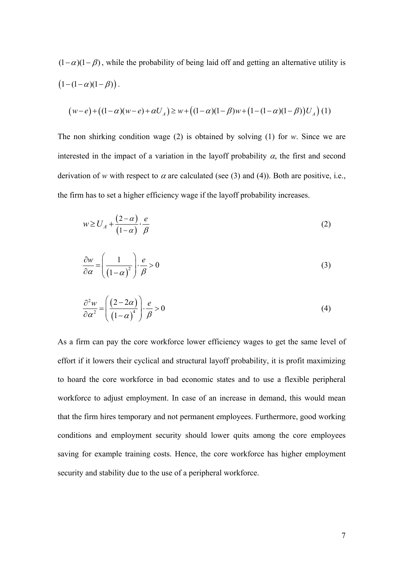$(1 - \alpha)(1 - \beta)$ , while the probability of being laid off and getting an alternative utility is  $(1 - (1 - \alpha)(1 - \beta))$ .

$$
(w-e) + ((1-\alpha)(w-e) + \alpha U_A) \ge w + ((1-\alpha)(1-\beta)w + (1-(1-\alpha)(1-\beta))U_A)(1)
$$

The non shirking condition wage (2) is obtained by solving (1) for *w*. Since we are interested in the impact of a variation in the layoff probability  $\alpha$ , the first and second derivation of *w* with respect to  $\alpha$  are calculated (see (3) and (4)). Both are positive, i.e., the firm has to set a higher efficiency wage if the layoff probability increases.

$$
w \ge U_A + \frac{(2-\alpha)}{(1-\alpha)} \cdot \frac{e}{\beta} \tag{2}
$$

$$
\frac{\partial w}{\partial \alpha} = \left(\frac{1}{\left(1-\alpha\right)^2}\right) \cdot \frac{e}{\beta} > 0\tag{3}
$$

$$
\frac{\partial^2 w}{\partial \alpha^2} = \left(\frac{(2-2\alpha)}{(1-\alpha)^4}\right) \cdot \frac{e}{\beta} > 0\tag{4}
$$

As a firm can pay the core workforce lower efficiency wages to get the same level of effort if it lowers their cyclical and structural layoff probability, it is profit maximizing to hoard the core workforce in bad economic states and to use a flexible peripheral workforce to adjust employment. In case of an increase in demand, this would mean that the firm hires temporary and not permanent employees. Furthermore, good working conditions and employment security should lower quits among the core employees saving for example training costs. Hence, the core workforce has higher employment security and stability due to the use of a peripheral workforce.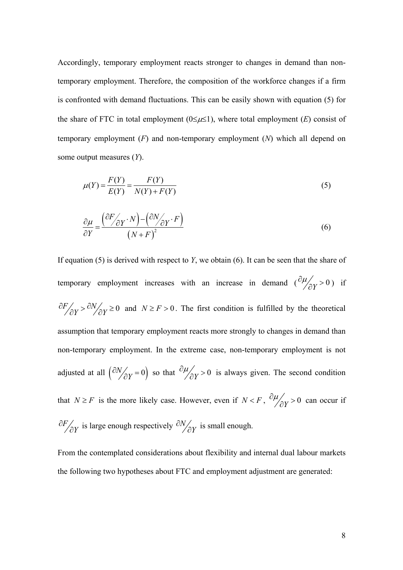Accordingly, temporary employment reacts stronger to changes in demand than nontemporary employment. Therefore, the composition of the workforce changes if a firm is confronted with demand fluctuations. This can be easily shown with equation (5) for the share of FTC in total employment  $(0 \le \mu \le 1)$ , where total employment  $(E)$  consist of temporary employment (*F*) and non-temporary employment (*N*) which all depend on some output measures (*Y*).

$$
\mu(Y) = \frac{F(Y)}{E(Y)} = \frac{F(Y)}{N(Y) + F(Y)}\tag{5}
$$

$$
\frac{\partial \mu}{\partial Y} = \frac{\left(\frac{\partial F}{\partial Y} \cdot N\right) - \left(\frac{\partial N}{\partial Y} \cdot F\right)}{\left(N + F\right)^2} \tag{6}
$$

If equation (5) is derived with respect to *Y*, we obtain (6). It can be seen that the share of temporary employment increases with an increase in demand  $\left(\frac{\partial \mu}{\partial Y} > 0\right)$  if  $\partial F_{\partial Y} > \partial N_{\partial Y} \ge 0$  and  $N \ge F > 0$ . The first condition is fulfilled by the theoretical assumption that temporary employment reacts more strongly to changes in demand than non-temporary employment. In the extreme case, non-temporary employment is not adjusted at all  $\left(\frac{\partial N}{\partial Y} = 0\right)$  so that  $\frac{\partial \mu}{\partial Y} > 0$  is always given. The second condition that *N* ≥ *F* is the more likely case. However, even if *N* < *F*,  $\partial \mu / \partial Y > 0$  can occur if ∂ ∂  $F/_{\partial Y}$  is large enough respectively  $\partial N/_{\partial Y}$  $\frac{N}{\partial Y}$  is small enough.

From the contemplated considerations about flexibility and internal dual labour markets the following two hypotheses about FTC and employment adjustment are generated: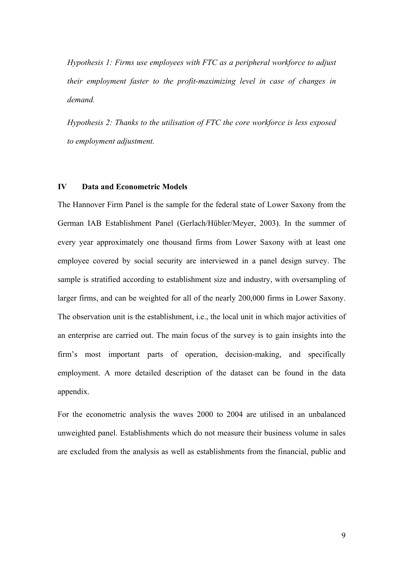*Hypothesis 1: Firms use employees with FTC as a peripheral workforce to adjust their employment faster to the profit-maximizing level in case of changes in demand.* 

*Hypothesis 2: Thanks to the utilisation of FTC the core workforce is less exposed to employment adjustment.* 

# **IV Data and Econometric Models**

The Hannover Firm Panel is the sample for the federal state of Lower Saxony from the German IAB Establishment Panel (Gerlach/Hübler/Meyer, 2003). In the summer of every year approximately one thousand firms from Lower Saxony with at least one employee covered by social security are interviewed in a panel design survey. The sample is stratified according to establishment size and industry, with oversampling of larger firms, and can be weighted for all of the nearly 200,000 firms in Lower Saxony. The observation unit is the establishment, i.e., the local unit in which major activities of an enterprise are carried out. The main focus of the survey is to gain insights into the firm's most important parts of operation, decision-making, and specifically employment. A more detailed description of the dataset can be found in the data appendix.

For the econometric analysis the waves 2000 to 2004 are utilised in an unbalanced unweighted panel. Establishments which do not measure their business volume in sales are excluded from the analysis as well as establishments from the financial, public and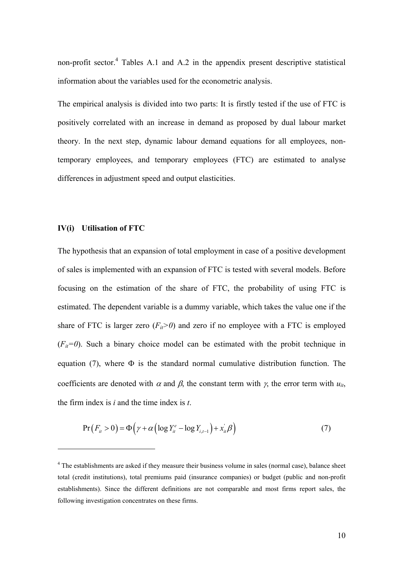non-profit sector.<sup>4</sup> Tables A.1 and A.2 in the appendix present descriptive statistical information about the variables used for the econometric analysis.

The empirical analysis is divided into two parts: It is firstly tested if the use of FTC is positively correlated with an increase in demand as proposed by dual labour market theory. In the next step, dynamic labour demand equations for all employees, nontemporary employees, and temporary employees (FTC) are estimated to analyse differences in adjustment speed and output elasticities.

#### **IV(i) Utilisation of FTC**

l

The hypothesis that an expansion of total employment in case of a positive development of sales is implemented with an expansion of FTC is tested with several models. Before focusing on the estimation of the share of FTC, the probability of using FTC is estimated. The dependent variable is a dummy variable, which takes the value one if the share of FTC is larger zero  $(F_{ii} > 0)$  and zero if no employee with a FTC is employed  $(F_{ii}=0)$ . Such a binary choice model can be estimated with the probit technique in equation (7), where  $\Phi$  is the standard normal cumulative distribution function. The coefficients are denoted with  $\alpha$  and  $\beta$ , the constant term with  $\gamma$ , the error term with  $u_{it}$ , the firm index is *i* and the time index is *t*.

$$
Pr(F_{it} > 0) = \Phi\left(\gamma + \alpha \left(\log Y_{it}^e - \log Y_{i,t-1}\right) + x_{it}\beta\right)
$$
\n(7)

<sup>&</sup>lt;sup>4</sup> The establishments are asked if they measure their business volume in sales (normal case), balance sheet total (credit institutions), total premiums paid (insurance companies) or budget (public and non-profit establishments). Since the different definitions are not comparable and most firms report sales, the following investigation concentrates on these firms.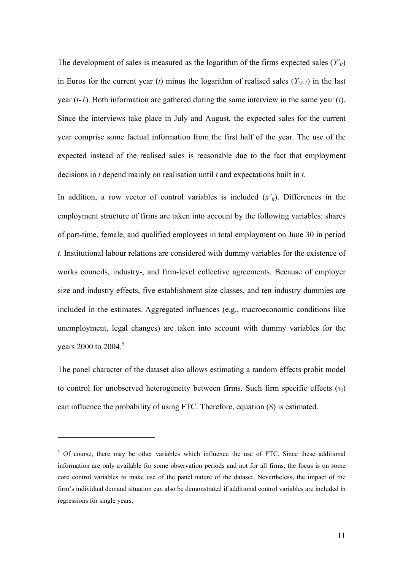The development of sales is measured as the logarithm of the firms expected sales  $(Y^e_{ii})$ in Euros for the current year (*t*) minus the logarithm of realised sales  $(Y_{i,t-1})$  in the last year (*t-1*). Both information are gathered during the same interview in the same year (*t*). Since the interviews take place in July and August, the expected sales for the current year comprise some factual information from the first half of the year. The use of the expected instead of the realised sales is reasonable due to the fact that employment decisions in *t* depend mainly on realisation until *t* and expectations built in *t*.

In addition, a row vector of control variables is included (*x'it*). Differences in the employment structure of firms are taken into account by the following variables: shares of part-time, female, and qualified employees in total employment on June 30 in period *t*. Institutional labour relations are considered with dummy variables for the existence of works councils, industry-, and firm-level collective agreements. Because of employer size and industry effects, five establishment size classes, and ten industry dummies are included in the estimates. Aggregated influences (e.g., macroeconomic conditions like unemployment, legal changes) are taken into account with dummy variables for the years 2000 to 2004.<sup>5</sup>

The panel character of the dataset also allows estimating a random effects probit model to control for unobserved heterogeneity between firms. Such firm specific effects (*vi*) can influence the probability of using FTC. Therefore, equation (8) is estimated.

l

<sup>&</sup>lt;sup>5</sup> Of course, there may be other variables which influence the use of FTC. Since these additional information are only available for some observation periods and not for all firms, the focus is on some core control variables to make use of the panel nature of the dataset. Nevertheless, the impact of the firm's individual demand situation can also be demonstrated if additional control variables are included in regressions for single years.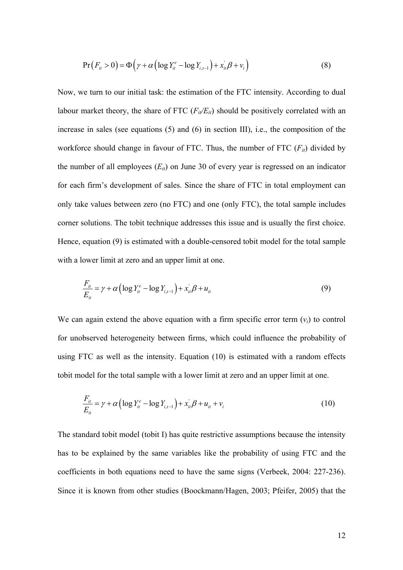$$
Pr(F_{it} > 0) = \Phi\left(\gamma + \alpha \left(\log Y_{it}^e - \log Y_{i,t-1}\right) + x_{it}^{\dagger} \beta + v_i\right)
$$
\n
$$
\tag{8}
$$

Now, we turn to our initial task: the estimation of the FTC intensity. According to dual labour market theory, the share of FTC  $(F_{ii}/E_{ii})$  should be positively correlated with an increase in sales (see equations (5) and (6) in section III), i.e., the composition of the workforce should change in favour of FTC. Thus, the number of FTC  $(F_{ii})$  divided by the number of all employees  $(E_{it})$  on June 30 of every year is regressed on an indicator for each firm's development of sales. Since the share of FTC in total employment can only take values between zero (no FTC) and one (only FTC), the total sample includes corner solutions. The tobit technique addresses this issue and is usually the first choice. Hence, equation (9) is estimated with a double-censored tobit model for the total sample with a lower limit at zero and an upper limit at one.

$$
\frac{F_{it}}{E_{it}} = \gamma + \alpha \left( \log Y_{it}^e - \log Y_{i,t-1} \right) + x_{it} \beta + u_{it}
$$
\n(9)

We can again extend the above equation with a firm specific error term  $(v_i)$  to control for unobserved heterogeneity between firms, which could influence the probability of using FTC as well as the intensity. Equation (10) is estimated with a random effects tobit model for the total sample with a lower limit at zero and an upper limit at one.

$$
\frac{F_{it}}{E_{it}} = \gamma + \alpha \left( \log Y_{it}^e - \log Y_{i,t-1} \right) + x_{it} \beta + u_{it} + v_i \tag{10}
$$

The standard tobit model (tobit I) has quite restrictive assumptions because the intensity has to be explained by the same variables like the probability of using FTC and the coefficients in both equations need to have the same signs (Verbeek, 2004: 227-236). Since it is known from other studies (Boockmann/Hagen, 2003; Pfeifer, 2005) that the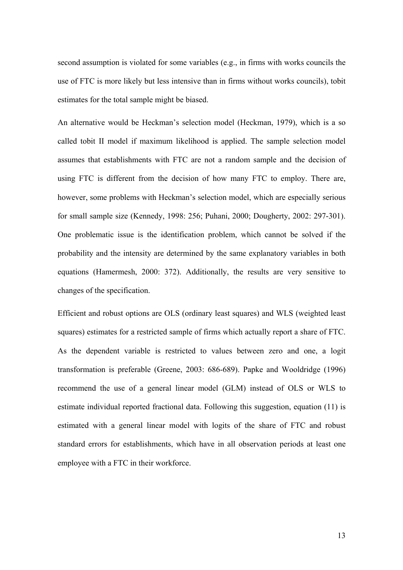second assumption is violated for some variables (e.g., in firms with works councils the use of FTC is more likely but less intensive than in firms without works councils), tobit estimates for the total sample might be biased.

An alternative would be Heckman's selection model (Heckman, 1979), which is a so called tobit II model if maximum likelihood is applied. The sample selection model assumes that establishments with FTC are not a random sample and the decision of using FTC is different from the decision of how many FTC to employ. There are, however, some problems with Heckman's selection model, which are especially serious for small sample size (Kennedy, 1998: 256; Puhani, 2000; Dougherty, 2002: 297-301). One problematic issue is the identification problem, which cannot be solved if the probability and the intensity are determined by the same explanatory variables in both equations (Hamermesh, 2000: 372). Additionally, the results are very sensitive to changes of the specification.

Efficient and robust options are OLS (ordinary least squares) and WLS (weighted least squares) estimates for a restricted sample of firms which actually report a share of FTC. As the dependent variable is restricted to values between zero and one, a logit transformation is preferable (Greene, 2003: 686-689). Papke and Wooldridge (1996) recommend the use of a general linear model (GLM) instead of OLS or WLS to estimate individual reported fractional data. Following this suggestion, equation (11) is estimated with a general linear model with logits of the share of FTC and robust standard errors for establishments, which have in all observation periods at least one employee with a FTC in their workforce.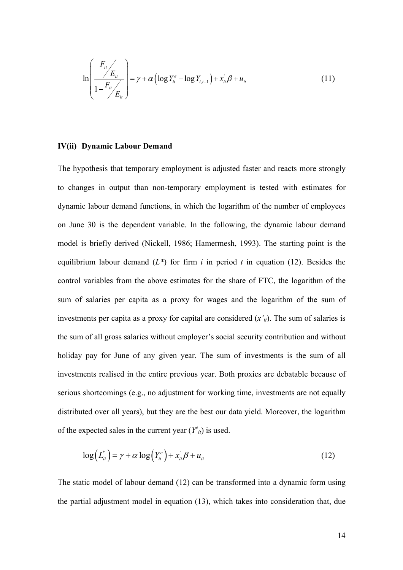$$
\ln\left(\frac{F_u}{1-F_u}\right) = \gamma + \alpha \left(\log Y_u^e - \log Y_{u,t-1}\right) + x_u^{\dagger} \beta + u_u \tag{11}
$$

#### **IV(ii) Dynamic Labour Demand**

The hypothesis that temporary employment is adjusted faster and reacts more strongly to changes in output than non-temporary employment is tested with estimates for dynamic labour demand functions, in which the logarithm of the number of employees on June 30 is the dependent variable. In the following, the dynamic labour demand model is briefly derived (Nickell, 1986; Hamermesh, 1993). The starting point is the equilibrium labour demand  $(L^*)$  for firm *i* in period *t* in equation (12). Besides the control variables from the above estimates for the share of FTC, the logarithm of the sum of salaries per capita as a proxy for wages and the logarithm of the sum of investments per capita as a proxy for capital are considered (*x'it*). The sum of salaries is the sum of all gross salaries without employer's social security contribution and without holiday pay for June of any given year. The sum of investments is the sum of all investments realised in the entire previous year. Both proxies are debatable because of serious shortcomings (e.g., no adjustment for working time, investments are not equally distributed over all years), but they are the best our data yield. Moreover, the logarithm of the expected sales in the current year  $(Y^e_{ii})$  is used.

$$
\log(L_{it}^*) = \gamma + \alpha \log(Y_{it}^e) + x_{it}^{\dagger} \beta + u_{it}
$$
\n(12)

The static model of labour demand (12) can be transformed into a dynamic form using the partial adjustment model in equation (13), which takes into consideration that, due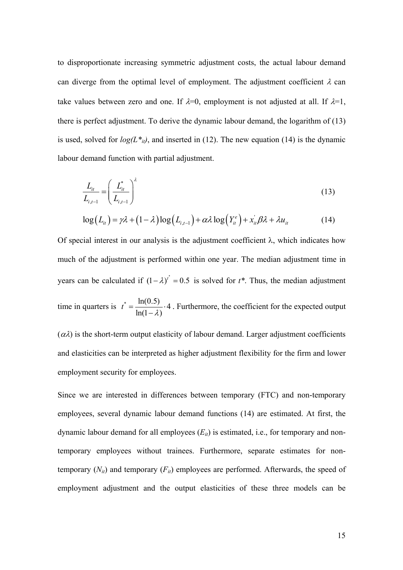to disproportionate increasing symmetric adjustment costs, the actual labour demand can diverge from the optimal level of employment. The adjustment coefficient  $\lambda$  can take values between zero and one. If  $\lambda=0$ , employment is not adjusted at all. If  $\lambda=1$ , there is perfect adjustment. To derive the dynamic labour demand, the logarithm of (13) is used, solved for  $log(L_{ij}^*)$ , and inserted in (12). The new equation (14) is the dynamic labour demand function with partial adjustment.

$$
\frac{L_{it}}{L_{i,t-1}} = \left(\frac{L_{it}^*}{L_{i,t-1}}\right)^{\lambda}
$$
\n(13)

$$
\log(L_{ii}) = \gamma \lambda + (1 - \lambda) \log(L_{i,t-1}) + \alpha \lambda \log(Y_{ii}^e) + x_{ii}^{\dagger} \beta \lambda + \lambda u_{ii}
$$
 (14)

Of special interest in our analysis is the adjustment coefficient  $\lambda$ , which indicates how much of the adjustment is performed within one year. The median adjustment time in years can be calculated if  $(1 - \lambda)^{t^*} = 0.5$  is solved for  $t^*$ . Thus, the median adjustment time in quarters is  $t^* = \frac{\ln(0.5)}{1.4 \cdot 10^{13}}$ .  $ln(1 - \lambda)$  $t^* = \frac{\ln(0.5)}{\ln(1-\lambda)}$ . Furthermore, the coefficient for the expected output  $(\alpha \lambda)$  is the short-term output elasticity of labour demand. Larger adjustment coefficients

and elasticities can be interpreted as higher adjustment flexibility for the firm and lower employment security for employees.

Since we are interested in differences between temporary (FTC) and non-temporary employees, several dynamic labour demand functions (14) are estimated. At first, the dynamic labour demand for all employees  $(E_{it})$  is estimated, i.e., for temporary and nontemporary employees without trainees. Furthermore, separate estimates for nontemporary  $(N_{it})$  and temporary  $(F_{it})$  employees are performed. Afterwards, the speed of employment adjustment and the output elasticities of these three models can be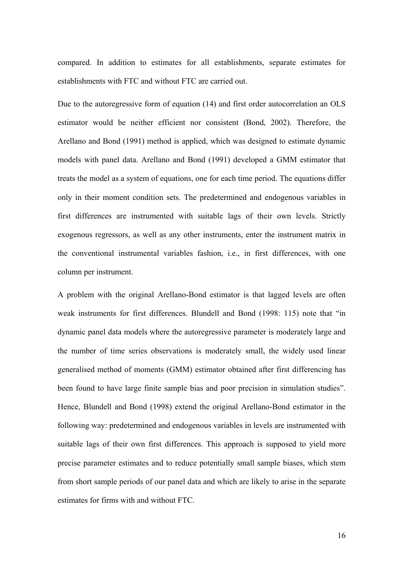compared. In addition to estimates for all establishments, separate estimates for establishments with FTC and without FTC are carried out.

Due to the autoregressive form of equation (14) and first order autocorrelation an OLS estimator would be neither efficient nor consistent (Bond, 2002). Therefore, the Arellano and Bond (1991) method is applied, which was designed to estimate dynamic models with panel data. Arellano and Bond (1991) developed a GMM estimator that treats the model as a system of equations, one for each time period. The equations differ only in their moment condition sets. The predetermined and endogenous variables in first differences are instrumented with suitable lags of their own levels. Strictly exogenous regressors, as well as any other instruments, enter the instrument matrix in the conventional instrumental variables fashion, i.e., in first differences, with one column per instrument.

A problem with the original Arellano-Bond estimator is that lagged levels are often weak instruments for first differences. Blundell and Bond (1998: 115) note that "in dynamic panel data models where the autoregressive parameter is moderately large and the number of time series observations is moderately small, the widely used linear generalised method of moments (GMM) estimator obtained after first differencing has been found to have large finite sample bias and poor precision in simulation studies". Hence, Blundell and Bond (1998) extend the original Arellano-Bond estimator in the following way: predetermined and endogenous variables in levels are instrumented with suitable lags of their own first differences. This approach is supposed to yield more precise parameter estimates and to reduce potentially small sample biases, which stem from short sample periods of our panel data and which are likely to arise in the separate estimates for firms with and without FTC.

16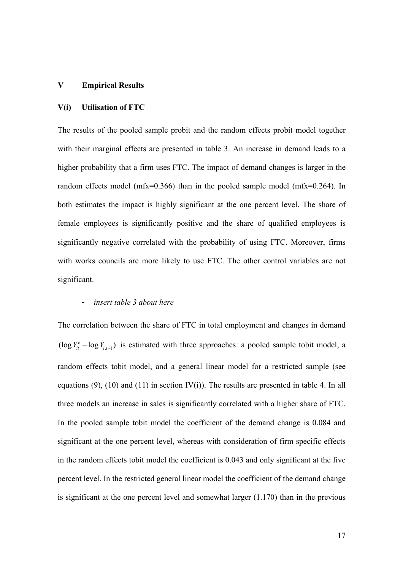#### **V Empirical Results**

# **V(i) Utilisation of FTC**

The results of the pooled sample probit and the random effects probit model together with their marginal effects are presented in table 3. An increase in demand leads to a higher probability that a firm uses FTC. The impact of demand changes is larger in the random effects model (mfx=0.366) than in the pooled sample model (mfx=0.264). In both estimates the impact is highly significant at the one percent level. The share of female employees is significantly positive and the share of qualified employees is significantly negative correlated with the probability of using FTC. Moreover, firms with works councils are more likely to use FTC. The other control variables are not significant.

# **-** *insert table 3 about here*

The correlation between the share of FTC in total employment and changes in demand  $(\log Y_{it}^e - \log Y_{i,t-1})$  is estimated with three approaches: a pooled sample tobit model, a random effects tobit model, and a general linear model for a restricted sample (see equations (9), (10) and (11) in section  $IV(i)$ ). The results are presented in table 4. In all three models an increase in sales is significantly correlated with a higher share of FTC. In the pooled sample tobit model the coefficient of the demand change is 0.084 and significant at the one percent level, whereas with consideration of firm specific effects in the random effects tobit model the coefficient is 0.043 and only significant at the five percent level. In the restricted general linear model the coefficient of the demand change is significant at the one percent level and somewhat larger (1.170) than in the previous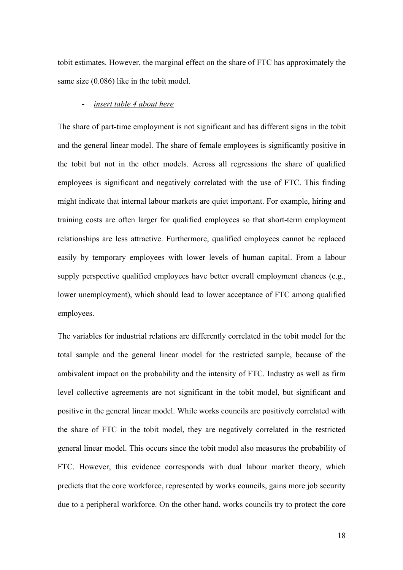tobit estimates. However, the marginal effect on the share of FTC has approximately the same size (0.086) like in the tobit model.

#### **-** *insert table 4 about here*

The share of part-time employment is not significant and has different signs in the tobit and the general linear model. The share of female employees is significantly positive in the tobit but not in the other models. Across all regressions the share of qualified employees is significant and negatively correlated with the use of FTC. This finding might indicate that internal labour markets are quiet important. For example, hiring and training costs are often larger for qualified employees so that short-term employment relationships are less attractive. Furthermore, qualified employees cannot be replaced easily by temporary employees with lower levels of human capital. From a labour supply perspective qualified employees have better overall employment chances (e.g., lower unemployment), which should lead to lower acceptance of FTC among qualified employees.

The variables for industrial relations are differently correlated in the tobit model for the total sample and the general linear model for the restricted sample, because of the ambivalent impact on the probability and the intensity of FTC. Industry as well as firm level collective agreements are not significant in the tobit model, but significant and positive in the general linear model. While works councils are positively correlated with the share of FTC in the tobit model, they are negatively correlated in the restricted general linear model. This occurs since the tobit model also measures the probability of FTC. However, this evidence corresponds with dual labour market theory, which predicts that the core workforce, represented by works councils, gains more job security due to a peripheral workforce. On the other hand, works councils try to protect the core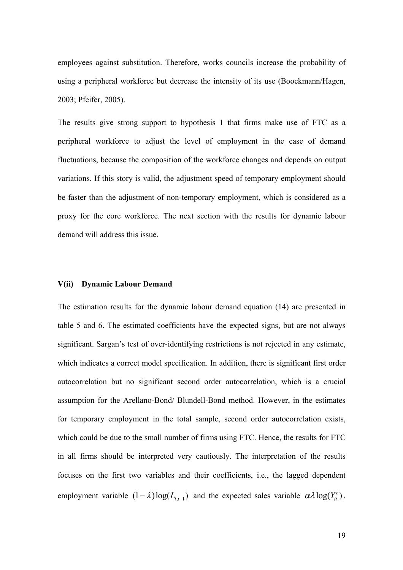employees against substitution. Therefore, works councils increase the probability of using a peripheral workforce but decrease the intensity of its use (Boockmann/Hagen, 2003; Pfeifer, 2005).

The results give strong support to hypothesis 1 that firms make use of FTC as a peripheral workforce to adjust the level of employment in the case of demand fluctuations, because the composition of the workforce changes and depends on output variations. If this story is valid, the adjustment speed of temporary employment should be faster than the adjustment of non-temporary employment, which is considered as a proxy for the core workforce. The next section with the results for dynamic labour demand will address this issue.

#### **V(ii) Dynamic Labour Demand**

The estimation results for the dynamic labour demand equation (14) are presented in table 5 and 6. The estimated coefficients have the expected signs, but are not always significant. Sargan's test of over-identifying restrictions is not rejected in any estimate, which indicates a correct model specification. In addition, there is significant first order autocorrelation but no significant second order autocorrelation, which is a crucial assumption for the Arellano-Bond/ Blundell-Bond method. However, in the estimates for temporary employment in the total sample, second order autocorrelation exists, which could be due to the small number of firms using FTC. Hence, the results for FTC in all firms should be interpreted very cautiously. The interpretation of the results focuses on the first two variables and their coefficients, i.e., the lagged dependent employment variable  $(1 - \lambda) \log(L_{i,t-1})$  and the expected sales variable  $\alpha \lambda \log(Y_{it}^e)$ .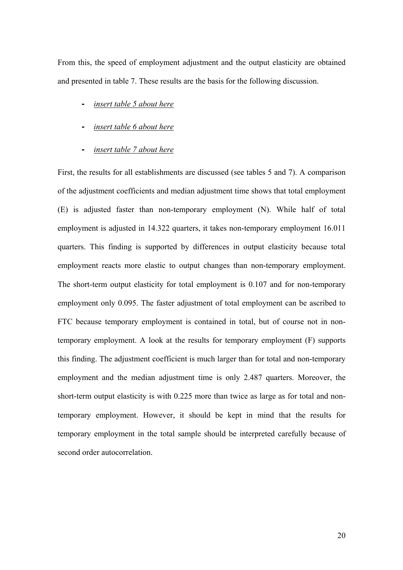From this, the speed of employment adjustment and the output elasticity are obtained and presented in table 7. These results are the basis for the following discussion.

- *insert table 5 about here*
- *insert table 6 about here*
- *insert table 7 about here*

First, the results for all establishments are discussed (see tables 5 and 7). A comparison of the adjustment coefficients and median adjustment time shows that total employment (E) is adjusted faster than non-temporary employment (N). While half of total employment is adjusted in 14.322 quarters, it takes non-temporary employment 16.011 quarters. This finding is supported by differences in output elasticity because total employment reacts more elastic to output changes than non-temporary employment. The short-term output elasticity for total employment is 0.107 and for non-temporary employment only 0.095. The faster adjustment of total employment can be ascribed to FTC because temporary employment is contained in total, but of course not in nontemporary employment. A look at the results for temporary employment (F) supports this finding. The adjustment coefficient is much larger than for total and non-temporary employment and the median adjustment time is only 2.487 quarters. Moreover, the short-term output elasticity is with 0.225 more than twice as large as for total and nontemporary employment. However, it should be kept in mind that the results for temporary employment in the total sample should be interpreted carefully because of second order autocorrelation.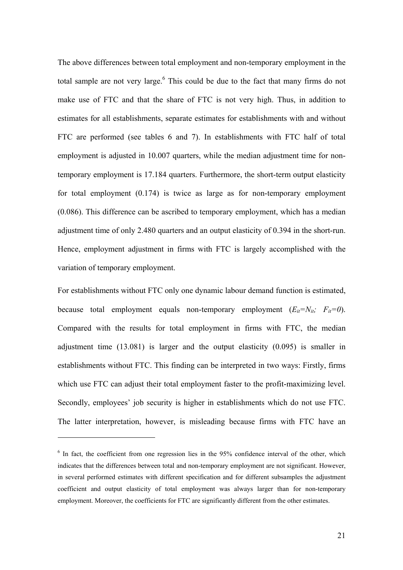The above differences between total employment and non-temporary employment in the total sample are not very large. $<sup>6</sup>$  This could be due to the fact that many firms do not</sup> make use of FTC and that the share of FTC is not very high. Thus, in addition to estimates for all establishments, separate estimates for establishments with and without FTC are performed (see tables 6 and 7). In establishments with FTC half of total employment is adjusted in 10.007 quarters, while the median adjustment time for nontemporary employment is 17.184 quarters. Furthermore, the short-term output elasticity for total employment (0.174) is twice as large as for non-temporary employment (0.086). This difference can be ascribed to temporary employment, which has a median adjustment time of only 2.480 quarters and an output elasticity of 0.394 in the short-run. Hence, employment adjustment in firms with FTC is largely accomplished with the variation of temporary employment.

For establishments without FTC only one dynamic labour demand function is estimated, because total employment equals non-temporary employment  $(E_{it}=N_{it}; F_{it}=0)$ . Compared with the results for total employment in firms with FTC, the median adjustment time (13.081) is larger and the output elasticity (0.095) is smaller in establishments without FTC. This finding can be interpreted in two ways: Firstly, firms which use FTC can adjust their total employment faster to the profit-maximizing level. Secondly, employees' job security is higher in establishments which do not use FTC. The latter interpretation, however, is misleading because firms with FTC have an

l

<sup>&</sup>lt;sup>6</sup> In fact, the coefficient from one regression lies in the 95% confidence interval of the other, which indicates that the differences between total and non-temporary employment are not significant. However, in several performed estimates with different specification and for different subsamples the adjustment coefficient and output elasticity of total employment was always larger than for non-temporary employment. Moreover, the coefficients for FTC are significantly different from the other estimates.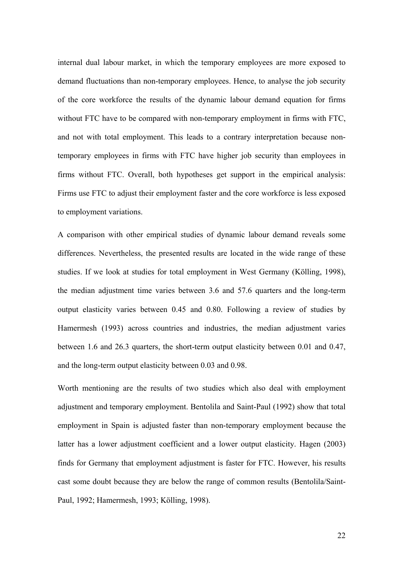internal dual labour market, in which the temporary employees are more exposed to demand fluctuations than non-temporary employees. Hence, to analyse the job security of the core workforce the results of the dynamic labour demand equation for firms without FTC have to be compared with non-temporary employment in firms with FTC, and not with total employment. This leads to a contrary interpretation because nontemporary employees in firms with FTC have higher job security than employees in firms without FTC. Overall, both hypotheses get support in the empirical analysis: Firms use FTC to adjust their employment faster and the core workforce is less exposed to employment variations.

A comparison with other empirical studies of dynamic labour demand reveals some differences. Nevertheless, the presented results are located in the wide range of these studies. If we look at studies for total employment in West Germany (Kölling, 1998), the median adjustment time varies between 3.6 and 57.6 quarters and the long-term output elasticity varies between 0.45 and 0.80. Following a review of studies by Hamermesh (1993) across countries and industries, the median adjustment varies between 1.6 and 26.3 quarters, the short-term output elasticity between 0.01 and 0.47, and the long-term output elasticity between 0.03 and 0.98.

Worth mentioning are the results of two studies which also deal with employment adjustment and temporary employment. Bentolila and Saint-Paul (1992) show that total employment in Spain is adjusted faster than non-temporary employment because the latter has a lower adjustment coefficient and a lower output elasticity. Hagen (2003) finds for Germany that employment adjustment is faster for FTC. However, his results cast some doubt because they are below the range of common results (Bentolila/Saint-Paul, 1992; Hamermesh, 1993; Kölling, 1998).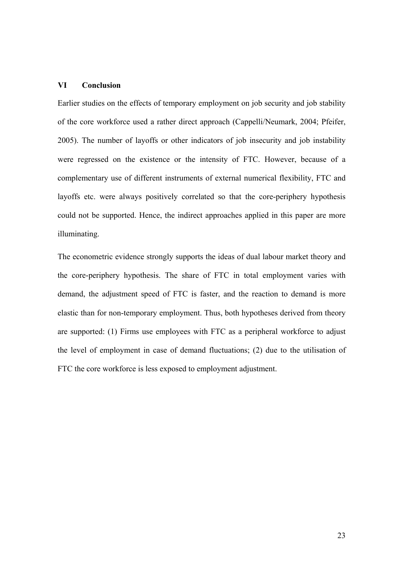# **VI Conclusion**

Earlier studies on the effects of temporary employment on job security and job stability of the core workforce used a rather direct approach (Cappelli/Neumark, 2004; Pfeifer, 2005). The number of layoffs or other indicators of job insecurity and job instability were regressed on the existence or the intensity of FTC. However, because of a complementary use of different instruments of external numerical flexibility, FTC and layoffs etc. were always positively correlated so that the core-periphery hypothesis could not be supported. Hence, the indirect approaches applied in this paper are more illuminating.

The econometric evidence strongly supports the ideas of dual labour market theory and the core-periphery hypothesis. The share of FTC in total employment varies with demand, the adjustment speed of FTC is faster, and the reaction to demand is more elastic than for non-temporary employment. Thus, both hypotheses derived from theory are supported: (1) Firms use employees with FTC as a peripheral workforce to adjust the level of employment in case of demand fluctuations; (2) due to the utilisation of FTC the core workforce is less exposed to employment adjustment.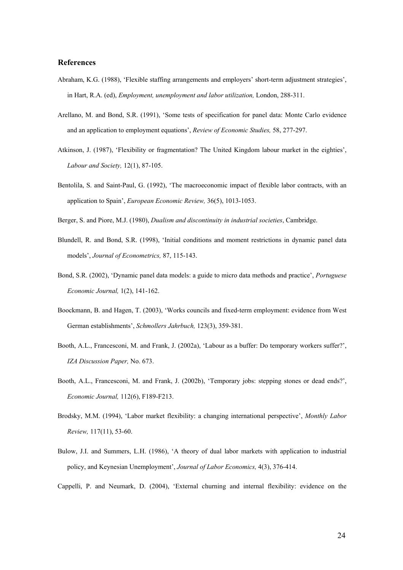#### **References**

- Abraham, K.G. (1988), 'Flexible staffing arrangements and employers' short-term adjustment strategies', in Hart, R.A. (ed), *Employment, unemployment and labor utilization,* London, 288-311.
- Arellano, M. and Bond, S.R. (1991), 'Some tests of specification for panel data: Monte Carlo evidence and an application to employment equations', *Review of Economic Studies,* 58, 277-297.
- Atkinson, J. (1987), 'Flexibility or fragmentation? The United Kingdom labour market in the eighties', *Labour and Society,* 12(1), 87-105.
- Bentolila, S. and Saint-Paul, G. (1992), 'The macroeconomic impact of flexible labor contracts, with an application to Spain', *European Economic Review,* 36(5), 1013-1053.
- Berger, S. and Piore, M.J. (1980), *Dualism and discontinuity in industrial societies*, Cambridge.
- Blundell, R. and Bond, S.R. (1998), 'Initial conditions and moment restrictions in dynamic panel data models', *Journal of Econometrics,* 87, 115-143.
- Bond, S.R. (2002), 'Dynamic panel data models: a guide to micro data methods and practice', *Portuguese Economic Journal,* 1(2), 141-162.
- Boockmann, B. and Hagen, T. (2003), 'Works councils and fixed-term employment: evidence from West German establishments', *Schmollers Jahrbuch,* 123(3), 359-381.
- Booth, A.L., Francesconi, M. and Frank, J. (2002a), 'Labour as a buffer: Do temporary workers suffer?', *IZA Discussion Paper,* No. 673.
- Booth, A.L., Francesconi, M. and Frank, J. (2002b), 'Temporary jobs: stepping stones or dead ends?', *Economic Journal,* 112(6), F189-F213.
- Brodsky, M.M. (1994), 'Labor market flexibility: a changing international perspective', *Monthly Labor Review,* 117(11), 53-60.
- Bulow, J.I. and Summers, L.H. (1986), 'A theory of dual labor markets with application to industrial policy, and Keynesian Unemployment', *Journal of Labor Economics,* 4(3), 376-414.
- Cappelli, P. and Neumark, D. (2004), 'External churning and internal flexibility: evidence on the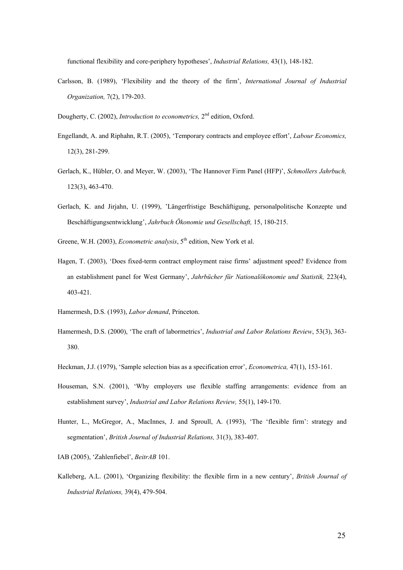functional flexibility and core-periphery hypotheses', *Industrial Relations,* 43(1), 148-182.

Carlsson, B. (1989), 'Flexibility and the theory of the firm', *International Journal of Industrial Organization,* 7(2), 179-203.

Dougherty, C. (2002), *Introduction to econometrics*, 2<sup>nd</sup> edition, Oxford.

- Engellandt, A. and Riphahn, R.T. (2005), 'Temporary contracts and employee effort', *Labour Economics,*  12(3), 281-299.
- Gerlach, K., Hübler, O. and Meyer, W. (2003), 'The Hannover Firm Panel (HFP)', *Schmollers Jahrbuch,* 123(3), 463-470.
- Gerlach, K. and Jirjahn, U. (1999), 'Längerfristige Beschäftigung, personalpolitische Konzepte und Beschäftigungsentwicklung', *Jahrbuch Ökonomie und Gesellschaft,* 15, 180-215.
- Greene, W.H. (2003), *Econometric analysis*, 5<sup>th</sup> edition, New York et al.
- Hagen, T. (2003), 'Does fixed-term contract employment raise firms' adjustment speed? Evidence from an establishment panel for West Germany', *Jahrbücher für Nationalökonomie und Statistik,* 223(4), 403-421.
- Hamermesh, D.S. (1993), *Labor demand*, Princeton.
- Hamermesh, D.S. (2000), 'The craft of labormetrics', *Industrial and Labor Relations Review*, 53(3), 363- 380.
- Heckman, J.J. (1979), 'Sample selection bias as a specification error', *Econometrica,* 47(1), 153-161.
- Houseman, S.N. (2001), 'Why employers use flexible staffing arrangements: evidence from an establishment survey', *Industrial and Labor Relations Review,* 55(1), 149-170.
- Hunter, L., McGregor, A., MacInnes, J. and Sproull, A. (1993), 'The 'flexible firm': strategy and segmentation', *British Journal of Industrial Relations,* 31(3), 383-407.
- IAB (2005), 'Zahlenfiebel', *BeitrAB* 101.
- Kalleberg, A.L. (2001), 'Organizing flexibility: the flexible firm in a new century', *British Journal of Industrial Relations,* 39(4), 479-504.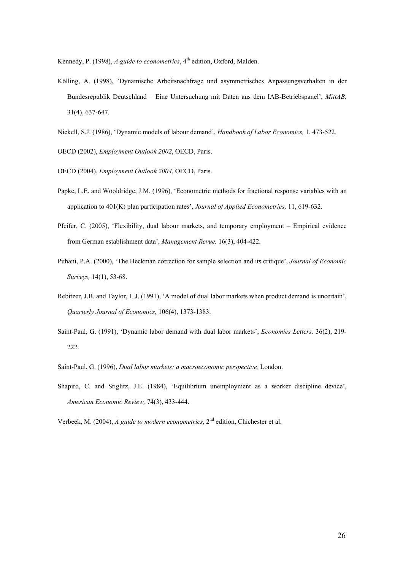Kennedy, P. (1998), *A guide to econometrics*, 4<sup>th</sup> edition, Oxford, Malden.

- Kölling, A. (1998), 'Dynamische Arbeitsnachfrage und asymmetrisches Anpassungsverhalten in der Bundesrepublik Deutschland – Eine Untersuchung mit Daten aus dem IAB-Betriebspanel', *MittAB,* 31(4), 637-647.
- Nickell, S.J. (1986), 'Dynamic models of labour demand', *Handbook of Labor Economics,* 1, 473-522.

OECD (2002), *Employment Outlook 2002*, OECD, Paris.

OECD (2004), *Employment Outlook 2004*, OECD, Paris.

- Papke, L.E. and Wooldridge, J.M. (1996), 'Econometric methods for fractional response variables with an application to 401(K) plan participation rates', *Journal of Applied Econometrics,* 11, 619-632.
- Pfeifer, C. (2005), 'Flexibility, dual labour markets, and temporary employment Empirical evidence from German establishment data', *Management Revue,* 16(3), 404-422.
- Puhani, P.A. (2000), 'The Heckman correction for sample selection and its critique', *Journal of Economic Surveys,* 14(1), 53-68.
- Rebitzer, J.B. and Taylor, L.J. (1991), 'A model of dual labor markets when product demand is uncertain', *Quarterly Journal of Economics,* 106(4), 1373-1383.
- Saint-Paul, G. (1991), 'Dynamic labor demand with dual labor markets', *Economics Letters,* 36(2), 219- 222.
- Saint-Paul, G. (1996), *Dual labor markets: a macroeconomic perspective,* London.
- Shapiro, C. and Stiglitz, J.E. (1984), 'Equilibrium unemployment as a worker discipline device', *American Economic Review,* 74(3), 433-444.

Verbeek, M. (2004), *A guide to modern econometrics*, 2nd edition, Chichester et al.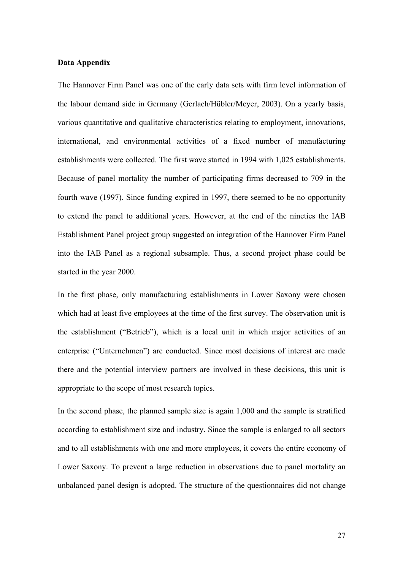# **Data Appendix**

The Hannover Firm Panel was one of the early data sets with firm level information of the labour demand side in Germany (Gerlach/Hübler/Meyer, 2003). On a yearly basis, various quantitative and qualitative characteristics relating to employment, innovations, international, and environmental activities of a fixed number of manufacturing establishments were collected. The first wave started in 1994 with 1,025 establishments. Because of panel mortality the number of participating firms decreased to 709 in the fourth wave (1997). Since funding expired in 1997, there seemed to be no opportunity to extend the panel to additional years. However, at the end of the nineties the IAB Establishment Panel project group suggested an integration of the Hannover Firm Panel into the IAB Panel as a regional subsample. Thus, a second project phase could be started in the year 2000.

In the first phase, only manufacturing establishments in Lower Saxony were chosen which had at least five employees at the time of the first survey. The observation unit is the establishment ("Betrieb"), which is a local unit in which major activities of an enterprise ("Unternehmen") are conducted. Since most decisions of interest are made there and the potential interview partners are involved in these decisions, this unit is appropriate to the scope of most research topics.

In the second phase, the planned sample size is again 1,000 and the sample is stratified according to establishment size and industry. Since the sample is enlarged to all sectors and to all establishments with one and more employees, it covers the entire economy of Lower Saxony. To prevent a large reduction in observations due to panel mortality an unbalanced panel design is adopted. The structure of the questionnaires did not change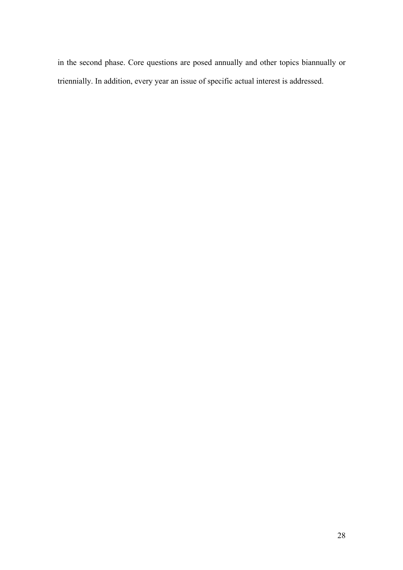in the second phase. Core questions are posed annually and other topics biannually or triennially. In addition, every year an issue of specific actual interest is addressed.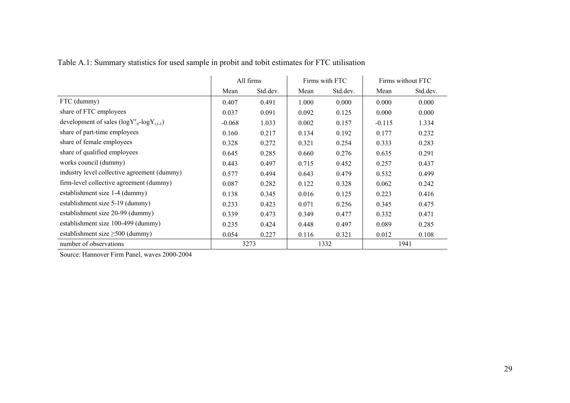Table A.1: Summary statistics for used sample in probit and tobit estimates for FTC utilisation

|                                                       | All firms |          | Firms with FTC |          | Firms without FTC |          |
|-------------------------------------------------------|-----------|----------|----------------|----------|-------------------|----------|
|                                                       | Mean      | Std.dev. | Mean           | Std.dev. | Mean              | Std.dev. |
| FTC (dummy)                                           | 0.407     | 0.491    | 1.000          | 0.000    | 0.000             | 0.000    |
| share of FTC employees                                | 0.037     | 0.091    | 0.092          | 0.125    | 0.000             | 0.000    |
| development of sales $(log Y^e_{it} - log Y_{i,t-1})$ | $-0.068$  | 1.033    | 0.002          | 0.157    | $-0.115$          | 1.334    |
| share of part-time employees                          | 0.160     | 0.217    | 0.134          | 0.192    | 0.177             | 0.232    |
| share of female employees                             | 0.328     | 0.272    | 0.321          | 0.254    | 0.333             | 0.283    |
| share of qualified employees                          | 0.645     | 0.285    | 0.660          | 0.276    | 0.635             | 0.291    |
| works council (dummy)                                 | 0.443     | 0.497    | 0.715          | 0.452    | 0.257             | 0.437    |
| industry level collective agreement (dummy)           | 0.577     | 0.494    | 0.643          | 0.479    | 0.532             | 0.499    |
| firm-level collective agreement (dummy)               | 0.087     | 0.282    | 0.122          | 0.328    | 0.062             | 0.242    |
| establishment size 1-4 (dummy)                        | 0.138     | 0.345    | 0.016          | 0.125    | 0.223             | 0.416    |
| establishment size 5-19 (dummy)                       | 0.233     | 0.423    | 0.071          | 0.256    | 0.345             | 0.475    |
| establishment size 20-99 (dummy)                      | 0.339     | 0.473    | 0.349          | 0.477    | 0.332             | 0.471    |
| establishment size 100-499 (dummy)                    | 0.235     | 0.424    | 0.448          | 0.497    | 0.089             | 0.285    |
| establishment size $\geq$ 500 (dummy)                 | 0.054     | 0.227    | 0.116          | 0.321    | 0.012             | 0.108    |
| number of observations                                |           | 3273     |                | 1332     |                   | 1941     |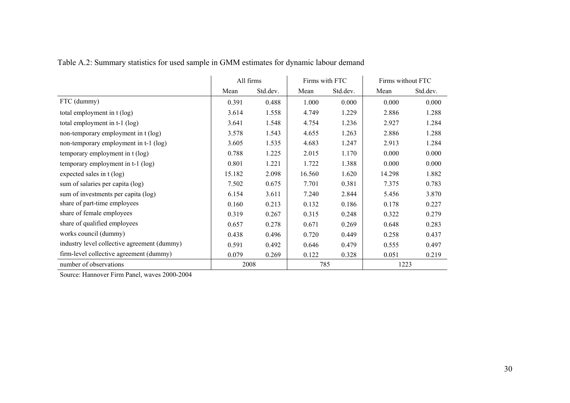Table A.2: Summary statistics for used sample in GMM estimates for dynamic labour demand

|                                             | All firms |          | Firms with FTC |          | Firms without FTC |          |
|---------------------------------------------|-----------|----------|----------------|----------|-------------------|----------|
|                                             | Mean      | Std.dev. | Mean           | Std.dev. | Mean              | Std.dev. |
| FTC (dummy)                                 | 0.391     | 0.488    | 1.000          | 0.000    | 0.000             | 0.000    |
| total employment in t (log)                 | 3.614     | 1.558    | 4.749          | 1.229    | 2.886             | 1.288    |
| total employment in t-1 (log)               | 3.641     | 1.548    | 4.754          | 1.236    | 2.927             | 1.284    |
| non-temporary employment in t (log)         | 3.578     | 1.543    | 4.655          | 1.263    | 2.886             | 1.288    |
| non-temporary employment in t-1 (log)       | 3.605     | 1.535    | 4.683          | 1.247    | 2.913             | 1.284    |
| temporary employment in t (log)             | 0.788     | 1.225    | 2.015          | 1.170    | 0.000             | 0.000    |
| temporary employment in t-1 (log)           | 0.801     | 1.221    | 1.722          | 1.388    | 0.000             | 0.000    |
| expected sales in t (log)                   | 15.182    | 2.098    | 16.560         | 1.620    | 14.298            | 1.882    |
| sum of salaries per capita (log)            | 7.502     | 0.675    | 7.701          | 0.381    | 7.375             | 0.783    |
| sum of investments per capita (log)         | 6.154     | 3.611    | 7.240          | 2.844    | 5.456             | 3.870    |
| share of part-time employees                | 0.160     | 0.213    | 0.132          | 0.186    | 0.178             | 0.227    |
| share of female employees                   | 0.319     | 0.267    | 0.315          | 0.248    | 0.322             | 0.279    |
| share of qualified employees                | 0.657     | 0.278    | 0.671          | 0.269    | 0.648             | 0.283    |
| works council (dummy)                       | 0.438     | 0.496    | 0.720          | 0.449    | 0.258             | 0.437    |
| industry level collective agreement (dummy) | 0.591     | 0.492    | 0.646          | 0.479    | 0.555             | 0.497    |
| firm-level collective agreement (dummy)     | 0.079     | 0.269    | 0.122          | 0.328    | 0.051             | 0.219    |
| number of observations                      | 2008      |          | 785            |          | 1223              |          |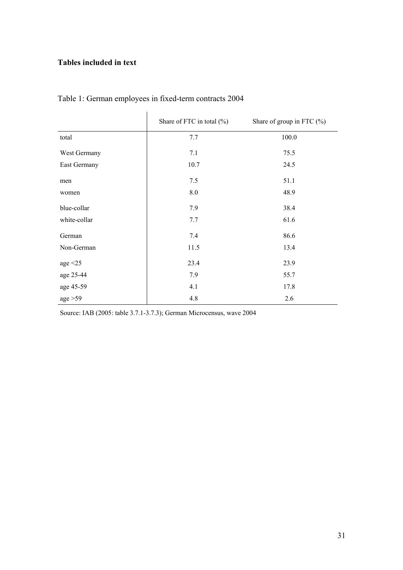# **Tables included in text**

|               | Share of FTC in total $(\% )$ | Share of group in FTC $(\%)$ |
|---------------|-------------------------------|------------------------------|
| total         | 7.7                           | 100.0                        |
| West Germany  | 7.1                           | 75.5                         |
| East Germany  | 10.7                          | 24.5                         |
| men           | 7.5                           | 51.1                         |
| women         | $8.0\,$                       | 48.9                         |
| blue-collar   | 7.9                           | 38.4                         |
| white-collar  | 7.7                           | 61.6                         |
| German        | 7.4                           | 86.6                         |
| Non-German    | 11.5                          | 13.4                         |
| age $\leq$ 25 | 23.4                          | 23.9                         |
| age 25-44     | 7.9                           | 55.7                         |
| age 45-59     | 4.1                           | 17.8                         |
| age > 59      | 4.8                           | 2.6                          |

# Table 1: German employees in fixed-term contracts 2004

Source: IAB (2005: table 3.7.1-3.7.3); German Microcensus, wave 2004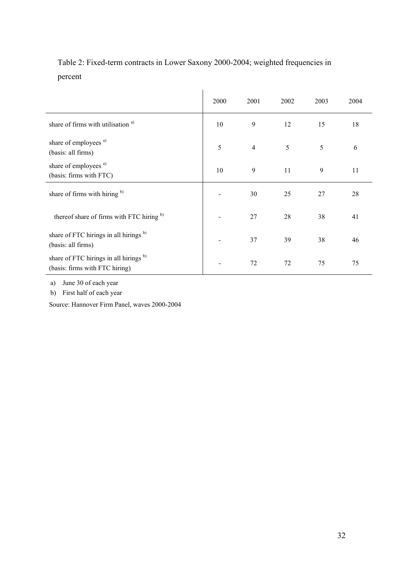Table 2: Fixed-term contracts in Lower Saxony 2000-2004; weighted frequencies in percent

|                                                                                     | 2000 | 2001           | 2002 | 2003 | 2004 |
|-------------------------------------------------------------------------------------|------|----------------|------|------|------|
| share of firms with utilisation <sup>a)</sup>                                       | 10   | 9              | 12   | 15   | 18   |
| share of employees <sup>a)</sup><br>(basis: all firms)                              | 5    | $\overline{4}$ | 5    | 5    | 6    |
| share of employees <sup>a)</sup><br>(basis: firms with FTC)                         | 10   | 9              | 11   | 9    | 11   |
| share of firms with hiring b)                                                       |      | 30             | 25   | 27   | 28   |
| thereof share of firms with FTC hiring b)                                           |      | 27             | 28   | 38   | 41   |
| share of FTC hirings in all hirings <sup>b)</sup><br>(basis: all firms)             |      | 37             | 39   | 38   | 46   |
| share of FTC hirings in all hirings <sup>b)</sup><br>(basis: firms with FTC hiring) |      | 72             | 72   | 75   | 75   |

a) June 30 of each year

b) First half of each year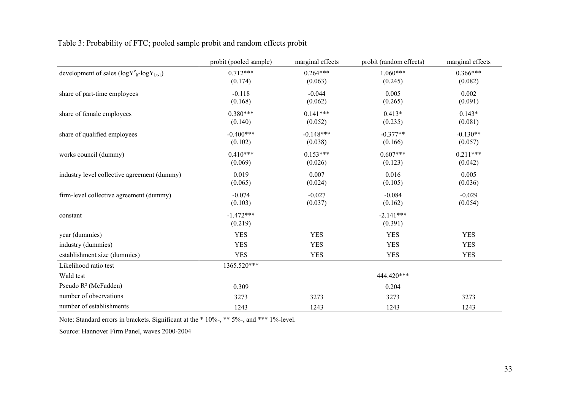| Table 3: Probability of FTC; pooled sample probit and random effects probit |  |  |
|-----------------------------------------------------------------------------|--|--|
|                                                                             |  |  |

|                                                     | probit (pooled sample) | marginal effects       | probit (random effects) | marginal effects      |
|-----------------------------------------------------|------------------------|------------------------|-------------------------|-----------------------|
| development of sales $(logY^e_{it} - logY_{i,t-1})$ | $0.712***$<br>(0.174)  | $0.264***$<br>(0.063)  | $1.060***$<br>(0.245)   | $0.366***$<br>(0.082) |
| share of part-time employees                        | $-0.118$<br>(0.168)    | $-0.044$<br>(0.062)    | 0.005<br>(0.265)        | 0.002<br>(0.091)      |
| share of female employees                           | $0.380***$<br>(0.140)  | $0.141***$<br>(0.052)  | $0.413*$<br>(0.235)     | $0.143*$<br>(0.081)   |
| share of qualified employees                        | $-0.400***$<br>(0.102) | $-0.148***$<br>(0.038) | $-0.377**$<br>(0.166)   | $-0.130**$<br>(0.057) |
| works council (dummy)                               | $0.410***$<br>(0.069)  | $0.153***$<br>(0.026)  | $0.607***$<br>(0.123)   | $0.211***$<br>(0.042) |
| industry level collective agreement (dummy)         | 0.019<br>(0.065)       | 0.007<br>(0.024)       | 0.016<br>(0.105)        | 0.005<br>(0.036)      |
| firm-level collective agreement (dummy)             | $-0.074$<br>(0.103)    | $-0.027$<br>(0.037)    | $-0.084$<br>(0.162)     | $-0.029$<br>(0.054)   |
| constant                                            | $-1.472***$<br>(0.219) |                        | $-2.141***$<br>(0.391)  |                       |
| year (dummies)                                      | <b>YES</b>             | <b>YES</b>             | <b>YES</b>              | <b>YES</b>            |
| industry (dummies)                                  | <b>YES</b>             | <b>YES</b>             | <b>YES</b>              | <b>YES</b>            |
| establishment size (dummies)                        | <b>YES</b>             | <b>YES</b>             | <b>YES</b>              | <b>YES</b>            |
| Likelihood ratio test                               | 1365.520***            |                        |                         |                       |
| Wald test                                           |                        |                        | 444.420***              |                       |
| Pseudo R <sup>2</sup> (McFadden)                    | 0.309                  |                        | 0.204                   |                       |
| number of observations                              | 3273                   | 3273                   | 3273                    | 3273                  |
| number of establishments                            | 1243                   | 1243                   | 1243                    | 1243                  |

Note: Standard errors in brackets. Significant at the \* 10%-, \*\* 5%-, and \*\*\* 1%-level.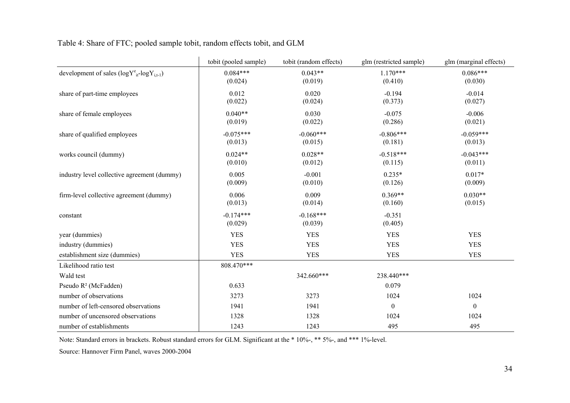|                                                     | tobit (pooled sample)  | tobit (random effects) | glm (restricted sample) | glm (marginal effects) |
|-----------------------------------------------------|------------------------|------------------------|-------------------------|------------------------|
| development of sales $(logY^e_{it} - logY_{i,t-1})$ | $0.084***$<br>(0.024)  | $0.043**$<br>(0.019)   | $1.170***$<br>(0.410)   | $0.086***$<br>(0.030)  |
| share of part-time employees                        | 0.012<br>(0.022)       | 0.020<br>(0.024)       | $-0.194$<br>(0.373)     | $-0.014$<br>(0.027)    |
| share of female employees                           | $0.040**$<br>(0.019)   | 0.030<br>(0.022)       | $-0.075$<br>(0.286)     | $-0.006$<br>(0.021)    |
| share of qualified employees                        | $-0.075***$<br>(0.013) | $-0.060***$<br>(0.015) | $-0.806***$<br>(0.181)  | $-0.059***$<br>(0.013) |
| works council (dummy)                               | $0.024**$<br>(0.010)   | $0.028**$<br>(0.012)   | $-0.518***$<br>(0.115)  | $-0.043***$<br>(0.011) |
| industry level collective agreement (dummy)         | 0.005<br>(0.009)       | $-0.001$<br>(0.010)    | $0.235*$<br>(0.126)     | $0.017*$<br>(0.009)    |
| firm-level collective agreement (dummy)             | 0.006<br>(0.013)       | 0.009<br>(0.014)       | $0.369**$<br>(0.160)    | $0.030**$<br>(0.015)   |
| constant                                            | $-0.174***$<br>(0.029) | $-0.168***$<br>(0.039) | $-0.351$<br>(0.405)     |                        |
| year (dummies)                                      | <b>YES</b>             | <b>YES</b>             | <b>YES</b>              | <b>YES</b>             |
| industry (dummies)                                  | <b>YES</b>             | <b>YES</b>             | <b>YES</b>              | <b>YES</b>             |
| establishment size (dummies)                        | <b>YES</b>             | <b>YES</b>             | <b>YES</b>              | <b>YES</b>             |
| Likelihood ratio test                               | 808.470***             |                        |                         |                        |
| Wald test                                           |                        | 342.660***             | 238.440***              |                        |
| Pseudo $R^2$ (McFadden)                             | 0.633                  |                        | 0.079                   |                        |
| number of observations                              | 3273                   | 3273                   | 1024                    | 1024                   |
| number of left-censored observations                | 1941                   | 1941                   | $\boldsymbol{0}$        | $\boldsymbol{0}$       |
| number of uncensored observations                   | 1328                   | 1328                   | 1024                    | 1024                   |
| number of establishments                            | 1243                   | 1243                   | 495                     | 495                    |

Note: Standard errors in brackets. Robust standard errors for GLM. Significant at the \* 10%-, \*\* 5%-, and \*\*\* 1%-level.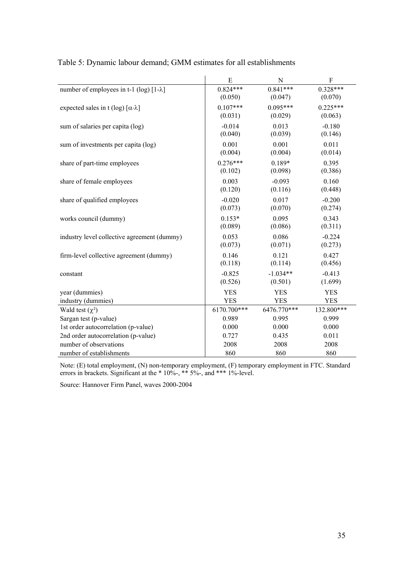|                                                    | ${\bf E}$   | ${\bf N}$   | ${\bf F}$  |
|----------------------------------------------------|-------------|-------------|------------|
| number of employees in t-1 (log) $[1-\lambda]$     | $0.824***$  | $0.841***$  | $0.328***$ |
|                                                    | (0.050)     | (0.047)     | (0.070)    |
| expected sales in t (log) $[\alpha \cdot \lambda]$ | $0.107***$  | $0.095***$  | $0.225***$ |
|                                                    | (0.031)     | (0.029)     | (0.063)    |
| sum of salaries per capita (log)                   | $-0.014$    | 0.013       | $-0.180$   |
|                                                    | (0.040)     | (0.039)     | (0.146)    |
| sum of investments per capita (log)                | 0.001       | 0.001       | 0.011      |
|                                                    | (0.004)     | (0.004)     | (0.014)    |
| share of part-time employees                       | $0.276***$  | $0.189*$    | 0.395      |
|                                                    | (0.102)     | (0.098)     | (0.386)    |
| share of female employees                          | 0.003       | $-0.093$    | 0.160      |
|                                                    | (0.120)     | (0.116)     | (0.448)    |
| share of qualified employees                       | $-0.020$    | 0.017       | $-0.200$   |
|                                                    | (0.073)     | (0.070)     | (0.274)    |
| works council (dummy)                              | $0.153*$    | 0.095       | 0.343      |
|                                                    | (0.089)     | (0.086)     | (0.311)    |
| industry level collective agreement (dummy)        | 0.053       | 0.086       | $-0.224$   |
|                                                    | (0.073)     | (0.071)     | (0.273)    |
| firm-level collective agreement (dummy)            | 0.146       | 0.121       | 0.427      |
|                                                    | (0.118)     | (0.114)     | (0.456)    |
| constant                                           | $-0.825$    | $-1.034**$  | $-0.413$   |
|                                                    | (0.526)     | (0.501)     | (1.699)    |
| year (dummies)                                     | <b>YES</b>  | <b>YES</b>  | <b>YES</b> |
| industry (dummies)                                 | <b>YES</b>  | <b>YES</b>  | <b>YES</b> |
| Wald test $(\chi^2)$                               | 6170.700*** | 6476.770*** | 132.800*** |
| Sargan test (p-value)                              | 0.989       | 0.995       | 0.999      |
| 1st order autocorrelation (p-value)                | 0.000       | 0.000       | 0.000      |
| 2nd order autocorrelation (p-value)                | 0.727       | 0.435       | 0.011      |
| number of observations                             | 2008        | 2008        | 2008       |
| number of establishments                           | 860         | 860         | 860        |

# Table 5: Dynamic labour demand; GMM estimates for all establishments

Note: (E) total employment, (N) non-temporary employment, (F) temporary employment in FTC. Standard errors in brackets. Significant at the \* 10%-, \*\* 5%-, and \*\*\* 1%-level.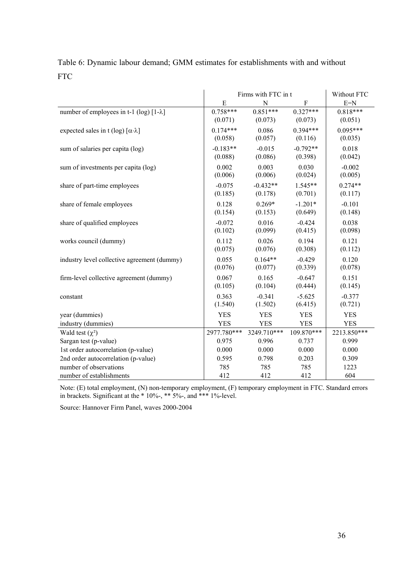| Table 6: Dynamic labour demand; GMM estimates for establishments with and without |  |
|-----------------------------------------------------------------------------------|--|
| <b>FTC</b>                                                                        |  |

|                                                                | Firms with FTC in t<br>Without FTC |             |            |             |  |
|----------------------------------------------------------------|------------------------------------|-------------|------------|-------------|--|
|                                                                | E                                  | N           | ${\bf F}$  | $E=N$       |  |
| number of employees in t-1 (log) $[1-\lambda]$                 | $0.758***$                         | $0.851***$  | $0.327***$ | $0.818***$  |  |
|                                                                | (0.071)                            | (0.073)     | (0.073)    | (0.051)     |  |
| expected sales in t (log) $\lceil \alpha \cdot \lambda \rceil$ | $0.174***$                         | 0.086       | $0.394***$ | $0.095***$  |  |
|                                                                | (0.058)                            | (0.057)     | (0.116)    | (0.035)     |  |
| sum of salaries per capita (log)                               | $-0.183**$                         | $-0.015$    | $-0.792**$ | 0.018       |  |
|                                                                | (0.088)                            | (0.086)     | (0.398)    | (0.042)     |  |
| sum of investments per capita (log)                            | 0.002                              | 0.003       | 0.030      | $-0.002$    |  |
|                                                                | (0.006)                            | (0.006)     | (0.024)    | (0.005)     |  |
| share of part-time employees                                   | $-0.075$                           | $-0.432**$  | $1.545**$  | $0.274**$   |  |
|                                                                | (0.185)                            | (0.178)     | (0.701)    | (0.117)     |  |
| share of female employees                                      | 0.128                              | $0.269*$    | $-1.201*$  | $-0.101$    |  |
|                                                                | (0.154)                            | (0.153)     | (0.649)    | (0.148)     |  |
| share of qualified employees                                   | $-0.072$                           | 0.016       | $-0.424$   | 0.038       |  |
|                                                                | (0.102)                            | (0.099)     | (0.415)    | (0.098)     |  |
| works council (dummy)                                          | 0.112                              | 0.026       | 0.194      | 0.121       |  |
|                                                                | (0.075)                            | (0.076)     | (0.308)    | (0.112)     |  |
| industry level collective agreement (dummy)                    | 0.055                              | $0.164**$   | $-0.429$   | 0.120       |  |
|                                                                | (0.076)                            | (0.077)     | (0.339)    | (0.078)     |  |
| firm-level collective agreement (dummy)                        | 0.067                              | 0.165       | $-0.647$   | 0.151       |  |
|                                                                | (0.105)                            | (0.104)     | (0.444)    | (0.145)     |  |
| constant                                                       | 0.363                              | $-0.341$    | $-5.625$   | $-0.377$    |  |
|                                                                | (1.540)                            | (1.502)     | (6.415)    | (0.721)     |  |
| year (dummies)                                                 | <b>YES</b>                         | <b>YES</b>  | <b>YES</b> | <b>YES</b>  |  |
| industry (dummies)                                             | <b>YES</b>                         | <b>YES</b>  | <b>YES</b> | <b>YES</b>  |  |
| Wald test $(\chi^2)$                                           | 2977.780***                        | 3249.710*** | 109.870*** | 2213.850*** |  |
| Sargan test (p-value)                                          | 0.975                              | 0.996       | 0.737      | 0.999       |  |
| 1st order autocorrelation (p-value)                            | 0.000                              | 0.000       | 0.000      | 0.000       |  |
| 2nd order autocorrelation (p-value)                            | 0.595                              | 0.798       | 0.203      | 0.309       |  |
| number of observations                                         | 785                                | 785         | 785        | 1223        |  |
| number of establishments                                       | 412                                | 412         | 412        | 604         |  |

Note: (E) total employment, (N) non-temporary employment, (F) temporary employment in FTC. Standard errors in brackets. Significant at the \* 10%-, \*\* 5%-, and \*\*\* 1%-level.